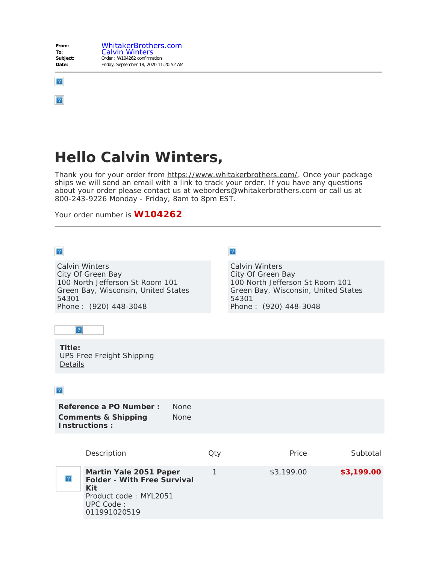

 $\boxed{?}$ 

## **Hello Calvin Winters,**

Thank you for your order from [https://www.whitakerbrothers.com/](https://www.whitakerbrothers.com/?lang=en-US). Once your package ships we will send an email with a link to track your order. If you have any questions about your order please contact us at weborders@whitakerbrothers.com or call us at 800-243-9226 Monday - Friday, 8am to 8pm EST.

Your order number is **W104262**

| $\sqrt{2}$                                                                                                                                              |     | $\overline{?}$                                                                                                                                         |            |
|---------------------------------------------------------------------------------------------------------------------------------------------------------|-----|--------------------------------------------------------------------------------------------------------------------------------------------------------|------------|
| <b>Calvin Winters</b><br>City Of Green Bay<br>100 North Jefferson St Room 101<br>Green Bay, Wisconsin, United States<br>54301<br>Phone: (920) 448-3048  |     | <b>Calvin Winters</b><br>City Of Green Bay<br>100 North Jefferson St Room 101<br>Green Bay, Wisconsin, United States<br>54301<br>Phone: (920) 448-3048 |            |
| $\boldsymbol{?}$                                                                                                                                        |     |                                                                                                                                                        |            |
| Title:<br><b>UPS Free Freight Shipping</b><br>Details                                                                                                   |     |                                                                                                                                                        |            |
| $\boldsymbol{?}$                                                                                                                                        |     |                                                                                                                                                        |            |
| Reference a PO Number:<br><b>None</b><br><b>Comments &amp; Shipping</b><br><b>None</b><br><b>Instructions:</b>                                          |     |                                                                                                                                                        |            |
| Description                                                                                                                                             | Qty | Price                                                                                                                                                  | Subtotal   |
| Martin Yale 2051 Paper<br>$\mathbf{?}$<br><b>Folder - With Free Survival</b><br><b>Kit</b><br>Product code: MYL2051<br><b>UPC Code:</b><br>011991020519 | 1   | \$3,199.00                                                                                                                                             | \$3,199.00 |